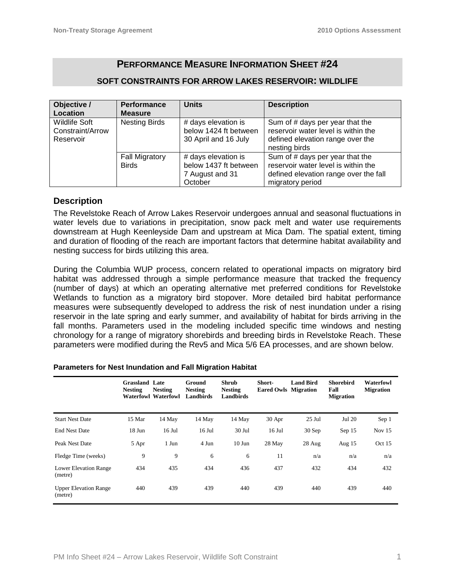# **PERFORMANCE MEASURE INFORMATION SHEET #24**

### **SOFT CONSTRAINTS FOR ARROW LAKES RESERVOIR: WILDLIFE**

| Objective /                                           | <b>Performance</b>                    | <b>Units</b>                                                               | <b>Description</b>                                                                                                                  |
|-------------------------------------------------------|---------------------------------------|----------------------------------------------------------------------------|-------------------------------------------------------------------------------------------------------------------------------------|
| Location                                              | <b>Measure</b>                        |                                                                            |                                                                                                                                     |
| <b>Wildlife Soft</b><br>Constraint/Arrow<br>Reservoir | <b>Nesting Birds</b>                  | # days elevation is<br>below 1424 ft between<br>30 April and 16 July       | Sum of # days per year that the<br>reservoir water level is within the<br>defined elevation range over the<br>nesting birds         |
|                                                       | <b>Fall Migratory</b><br><b>Birds</b> | # days elevation is<br>below 1437 ft between<br>7 August and 31<br>October | Sum of # days per year that the<br>reservoir water level is within the<br>defined elevation range over the fall<br>migratory period |

#### **Description**

The Revelstoke Reach of Arrow Lakes Reservoir undergoes annual and seasonal fluctuations in water levels due to variations in precipitation, snow pack melt and water use requirements downstream at Hugh Keenleyside Dam and upstream at Mica Dam. The spatial extent, timing and duration of flooding of the reach are important factors that determine habitat availability and nesting success for birds utilizing this area.

During the Columbia WUP process, concern related to operational impacts on migratory bird habitat was addressed through a simple performance measure that tracked the frequency (number of days) at which an operating alternative met preferred conditions for Revelstoke Wetlands to function as a migratory bird stopover. More detailed bird habitat performance measures were subsequently developed to address the risk of nest inundation under a rising reservoir in the late spring and early summer, and availability of habitat for birds arriving in the fall months. Parameters used in the modeling included specific time windows and nesting chronology for a range of migratory shorebirds and breeding birds in Revelstoke Reach. These parameters were modified during the Rev5 and Mica 5/6 EA processes, and are shown below.

|                                         | <b>Grassland</b> Late<br><b>Nesting</b> | <b>Nesting</b><br><b>Waterfowl Waterfowl</b> | Ground<br><b>Nesting</b><br><b>Landbirds</b> | <b>Shrub</b><br><b>Nesting</b><br><b>Landbirds</b> | Short-<br><b>Eared Owls Migration</b> | <b>Land Bird</b> | <b>Shorebird</b><br>Fall<br><b>Migration</b> | <b>Waterfowl</b><br><b>Migration</b> |
|-----------------------------------------|-----------------------------------------|----------------------------------------------|----------------------------------------------|----------------------------------------------------|---------------------------------------|------------------|----------------------------------------------|--------------------------------------|
| <b>Start Nest Date</b>                  | 15 Mar                                  | 14 May                                       | 14 May                                       | 14 May                                             | 30 Apr                                | $25$ Jul         | Jul 20                                       | Sep 1                                |
| <b>End Nest Date</b>                    | 18 Jun                                  | $16$ Jul                                     | $16$ Jul                                     | $30$ Jul                                           | $16$ Jul                              | $30$ Sep         | Sep 15                                       | Nov $15$                             |
| Peak Nest Date                          | 5 Apr                                   | 1 Jun                                        | 4 Jun                                        | $10$ Jun                                           | 28 May                                | 28 Aug           | Aug $15$                                     | Oct $15$                             |
| Fledge Time (weeks)                     | 9                                       | 9                                            | 6                                            | 6                                                  | 11                                    | n/a              | n/a                                          | n/a                                  |
| <b>Lower Elevation Range</b><br>(metre) | 434                                     | 435                                          | 434                                          | 436                                                | 437                                   | 432              | 434                                          | 432                                  |
| <b>Upper Elevation Range</b><br>(metre) | 440                                     | 439                                          | 439                                          | 440                                                | 439                                   | 440              | 439                                          | 440                                  |

#### **Parameters for Nest Inundation and Fall Migration Habitat**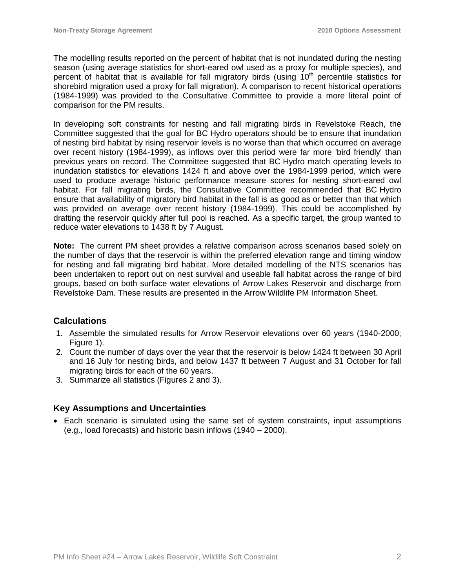The modelling results reported on the percent of habitat that is not inundated during the nesting season (using average statistics for short-eared owl used as a proxy for multiple species), and percent of habitat that is available for fall migratory birds (using  $10<sup>th</sup>$  percentile statistics for shorebird migration used a proxy for fall migration). A comparison to recent historical operations (1984-1999) was provided to the Consultative Committee to provide a more literal point of comparison for the PM results.

In developing soft constraints for nesting and fall migrating birds in Revelstoke Reach, the Committee suggested that the goal for BC Hydro operators should be to ensure that inundation of nesting bird habitat by rising reservoir levels is no worse than that which occurred on average over recent history (1984-1999), as inflows over this period were far more 'bird friendly' than previous years on record. The Committee suggested that BC Hydro match operating levels to inundation statistics for elevations 1424 ft and above over the 1984-1999 period, which were used to produce average historic performance measure scores for nesting short-eared owl habitat. For fall migrating birds, the Consultative Committee recommended that BC Hydro ensure that availability of migratory bird habitat in the fall is as good as or better than that which was provided on average over recent history (1984-1999). This could be accomplished by drafting the reservoir quickly after full pool is reached. As a specific target, the group wanted to reduce water elevations to 1438 ft by 7 August.

**Note:** The current PM sheet provides a relative comparison across scenarios based solely on the number of days that the reservoir is within the preferred elevation range and timing window for nesting and fall migrating bird habitat. More detailed modelling of the NTS scenarios has been undertaken to report out on nest survival and useable fall habitat across the range of bird groups, based on both surface water elevations of Arrow Lakes Reservoir and discharge from Revelstoke Dam. These results are presented in the Arrow Wildlife PM Information Sheet.

## **Calculations**

- 1. Assemble the simulated results for Arrow Reservoir elevations over 60 years (1940-2000; Figure 1).
- 2. Count the number of days over the year that the reservoir is below 1424 ft between 30 April and 16 July for nesting birds, and below 1437 ft between 7 August and 31 October for fall migrating birds for each of the 60 years.
- 3. Summarize all statistics (Figures 2 and 3).

## **Key Assumptions and Uncertainties**

• Each scenario is simulated using the same set of system constraints, input assumptions (e.g., load forecasts) and historic basin inflows (1940 – 2000).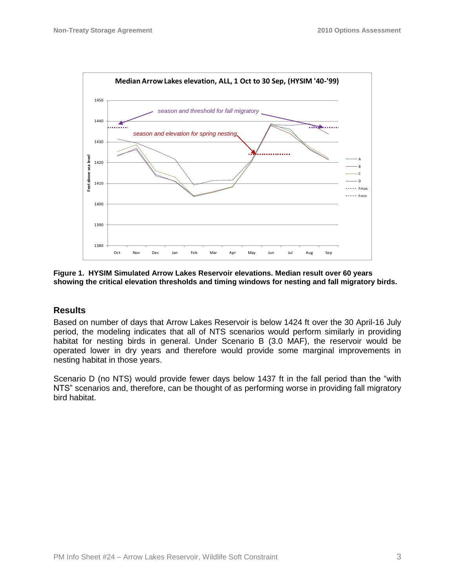

**Figure 1. HYSIM Simulated Arrow Lakes Reservoir elevations. Median result over 60 years showing the critical elevation thresholds and timing windows for nesting and fall migratory birds.**

#### **Results**

Based on number of days that Arrow Lakes Reservoir is below 1424 ft over the 30 April-16 July period, the modeling indicates that all of NTS scenarios would perform similarly in providing habitat for nesting birds in general. Under Scenario B (3.0 MAF), the reservoir would be operated lower in dry years and therefore would provide some marginal improvements in nesting habitat in those years.

Scenario D (no NTS) would provide fewer days below 1437 ft in the fall period than the "with NTS" scenarios and, therefore, can be thought of as performing worse in providing fall migratory bird habitat.